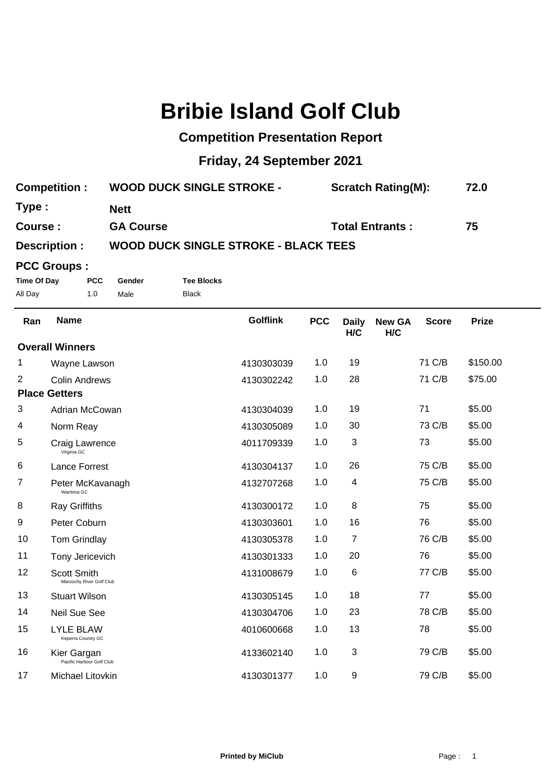## **Bribie Island Golf Club**

## **Competition Presentation Report**

## **Friday, 24 September 2021**

| <b>Competition:</b> | <b>WOOD DUCK SINGLE STROKE -</b>            | <b>Scratch Rating(M):</b> | 72.0 |  |  |
|---------------------|---------------------------------------------|---------------------------|------|--|--|
| Type:               | <b>Nett</b>                                 |                           |      |  |  |
| Course :            | <b>GA Course</b>                            | <b>Total Entrants:</b>    | 75   |  |  |
| Description :       | <b>WOOD DUCK SINGLE STROKE - BLACK TEES</b> |                           |      |  |  |

## **PCC Groups :**

**Time Of Day PCC Gender Tee Blocks** All Day 1.0 Male Black

| Ran                    | <b>Name</b>                                    | <b>Golflink</b> | <b>PCC</b> | <b>Daily</b><br>H/C       | <b>New GA</b><br>H/C | <b>Score</b> | <b>Prize</b> |
|------------------------|------------------------------------------------|-----------------|------------|---------------------------|----------------------|--------------|--------------|
| <b>Overall Winners</b> |                                                |                 |            |                           |                      |              |              |
| 1                      | Wayne Lawson                                   | 4130303039      | 1.0        | 19                        |                      | 71 C/B       | \$150.00     |
| 2                      | <b>Colin Andrews</b>                           | 4130302242      | 1.0        | 28                        |                      | 71 C/B       | \$75.00      |
|                        | <b>Place Getters</b>                           |                 |            |                           |                      |              |              |
| 3                      | Adrian McCowan                                 | 4130304039      | 1.0        | 19                        |                      | 71           | \$5.00       |
| 4                      | Norm Reay                                      | 4130305089      | 1.0        | 30                        |                      | 73 C/B       | \$5.00       |
| 5                      | Craig Lawrence<br>Virginia GC                  | 4011709339      | 1.0        | 3                         |                      | 73           | \$5.00       |
| 6                      | <b>Lance Forrest</b>                           | 4130304137      | 1.0        | 26                        |                      | 75 C/B       | \$5.00       |
| 7                      | Peter McKavanagh<br>Wantima GC                 | 4132707268      | 1.0        | 4                         |                      | 75 C/B       | \$5.00       |
| 8                      | Ray Griffiths                                  | 4130300172      | 1.0        | $\bf 8$                   |                      | 75           | \$5.00       |
| 9                      | Peter Coburn                                   | 4130303601      | 1.0        | 16                        |                      | 76           | \$5.00       |
| 10                     | Tom Grindlay                                   | 4130305378      | 1.0        | $\overline{7}$            |                      | 76 C/B       | \$5.00       |
| 11                     | Tony Jericevich                                | 4130301333      | 1.0        | 20                        |                      | 76           | \$5.00       |
| 12                     | <b>Scott Smith</b><br>Maroochy River Golf Club | 4131008679      | 1.0        | 6                         |                      | 77 C/B       | \$5.00       |
| 13                     | <b>Stuart Wilson</b>                           | 4130305145      | 1.0        | 18                        |                      | 77           | \$5.00       |
| 14                     | <b>Neil Sue See</b>                            | 4130304706      | 1.0        | 23                        |                      | 78 C/B       | \$5.00       |
| 15                     | <b>LYLE BLAW</b><br>Keperra Country GC         | 4010600668      | 1.0        | 13                        |                      | 78           | \$5.00       |
| 16                     | Kier Gargan<br>Pacific Harbour Golf Club       | 4133602140      | 1.0        | $\ensuremath{\mathsf{3}}$ |                      | 79 C/B       | \$5.00       |
| 17                     | Michael Litovkin                               | 4130301377      | 1.0        | 9                         |                      | 79 C/B       | \$5.00       |